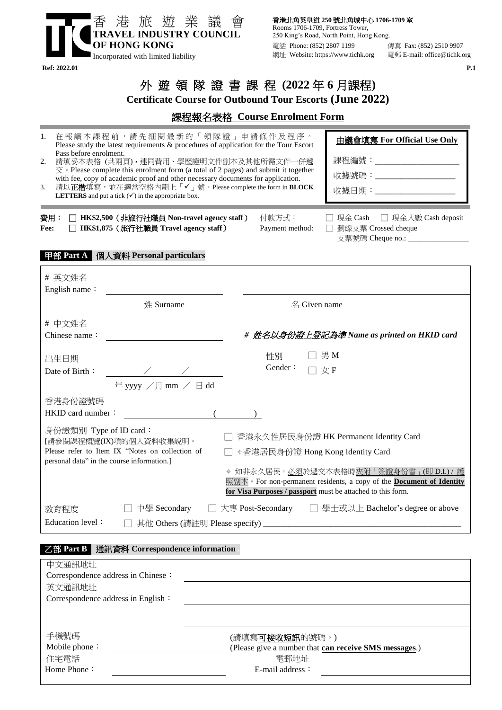

香港北角英皇道 **250** 號北角城中心 **1706-1709** 室 Rooms 1706-1709, Fortress Tower, 250 King's Road, North Point, Hong Kong. 電話 Phone: (852) 2807 1199 傳真 Fax: (852) 2510 9907 網址 Website: https://www.tichk.org 電郵 E-mail: office@tichk.org

# 外 遊 領 隊 證 書 課 程 **(2022** 年 **6** 月課程**)**

**Certificate Course for Outbound Tour Escorts (June 2022)**

## 課程報名表格 **Course Enrolment Form**

| 在報讀本課程前,請先細閱最新的「領隊證」申請條件及程序。<br>1.<br>由議會填寫 For Official Use Only<br>Please study the latest requirements & procedures of application for the Tour Escort<br>Pass before enrolment.<br>課程編號:_______________________<br>請填妥本表格 (共兩頁), 連同費用、學歷證明文件副本及其他所需文件一併遞<br>2.<br>$\overline{\mathcal{R}}$ · Please complete this enrolment form (a total of 2 pages) and submit it together<br>收據號碼:_____________________<br>with fee, copy of academic proof and other necessary documents for application.<br>請以正楷填寫,並在適當空格內劃上「✔」號。Please complete the form in BLOCK<br>3.<br>收據日期:_____________________<br><b>LETTERS</b> and put a tick $(\checkmark)$ in the appropriate box. |                                      |                                                                     |  |  |
|-------------------------------------------------------------------------------------------------------------------------------------------------------------------------------------------------------------------------------------------------------------------------------------------------------------------------------------------------------------------------------------------------------------------------------------------------------------------------------------------------------------------------------------------------------------------------------------------------------------------------------------------------------------------------|--------------------------------------|---------------------------------------------------------------------|--|--|
| 費用:<br>□ HK\$2,500 (非旅行社職員 Non-travel agency staff)<br>付款方式:<br>□ 現金 Cash □ 現金入數 Cash deposit<br>□ HK\$1,875 (旅行社職員 Travel agency staff)<br>Payment method:<br>□ 劃線支票 Crossed cheque<br>Fee:<br>支票號碼 Cheque no.: _________________                                                                                                                                                                                                                                                                                                                                                                                                                                      |                                      |                                                                     |  |  |
| 甲部 Part A 個人資料 Personal particulars<br># 英文姓名<br>English name:                                                                                                                                                                                                                                                                                                                                                                                                                                                                                                                                                                                                          |                                      |                                                                     |  |  |
| 姓 Surname                                                                                                                                                                                                                                                                                                                                                                                                                                                                                                                                                                                                                                                               | 名 Given name                         |                                                                     |  |  |
| # 中文姓名<br>Chinese name:                                                                                                                                                                                                                                                                                                                                                                                                                                                                                                                                                                                                                                                 |                                      | # 姓名以身份證上登記為準 Name as printed on HKID card                          |  |  |
| 出生日期<br>$\frac{1}{\sqrt{2}}$<br>Date of Birth:<br>年yyy /月mm / 日dd                                                                                                                                                                                                                                                                                                                                                                                                                                                                                                                                                                                                       | $\Box$ 男 M<br>性別<br>Gender:<br>□ 女 F |                                                                     |  |  |
| 香港身份證號碼<br>HKID card number:                                                                                                                                                                                                                                                                                                                                                                                                                                                                                                                                                                                                                                            |                                      |                                                                     |  |  |
| 身份證類別 Type of ID card:<br>香港永久性居民身份證 HK Permanent Identity Card<br>[請參閱課程概覽(IX)項的個人資料收集說明。<br>Please refer to Item IX "Notes on collection of<br>→香港居民身份證 Hong Kong Identity Card<br>personal data" in the course information.]<br>◆ 如非永久居民,必須於遞交本表格時夾附「簽證身份書」(即 D.I.)/ 護<br>照副本 • For non-permanent residents, a copy of the <b>Document of Identity</b><br>for Visa Purposes / passport must be attached to this form.                                                                                                                                                                                                                                                |                                      |                                                                     |  |  |
| 教育程度<br>Education level:                                                                                                                                                                                                                                                                                                                                                                                                                                                                                                                                                                                                                                                |                                      | 中學 Secondary □ 大專 Post-Secondary □ 學士或以上 Bachelor's degree or above |  |  |

#### 乙部 **Part B** 通訊資料 **Correspondence information .**

| 中文通訊地址                             |                                                       |  |
|------------------------------------|-------------------------------------------------------|--|
| Correspondence address in Chinese: |                                                       |  |
| 英文通訊地址                             |                                                       |  |
| Correspondence address in English: |                                                       |  |
|                                    |                                                       |  |
|                                    |                                                       |  |
| 手機號碼                               | (請填寫可 <b>接收短訊</b> 的號碼。)                               |  |
| Mobile phone:                      | (Please give a number that can receive SMS messages.) |  |
| 住宅電話                               | 電郵地址                                                  |  |
| Home Phone:                        | $E$ -mail address:                                    |  |
|                                    |                                                       |  |

**Ref: 2022.01 P.1**